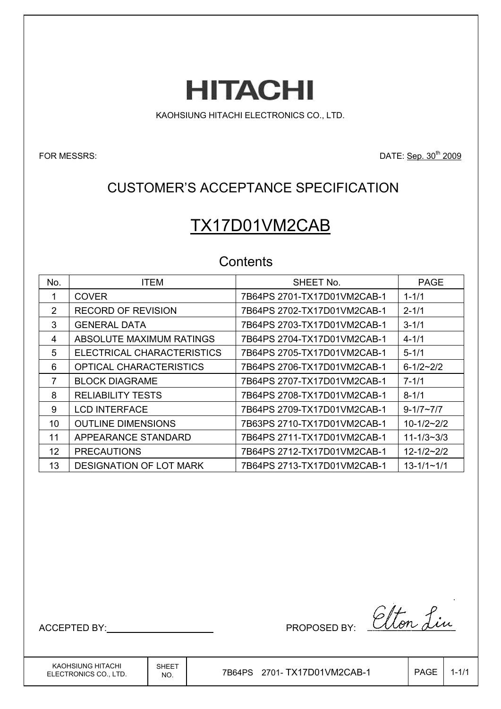**HITACHI** 

KAOHSIUNG HITACHI ELECTRONICS CO., LTD.

FOR MESSRS: DATE: Sep. 30<sup>th</sup> 2009

## CUSTOMER'S ACCEPTANCE SPECIFICATION

# TX17D01VM2CAB

## **Contents**

| No. | <b>ITEM</b>                    | SHEET No.                   | <b>PAGE</b>      |
|-----|--------------------------------|-----------------------------|------------------|
| 1   | <b>COVER</b>                   | 7B64PS 2701-TX17D01VM2CAB-1 | $1 - 1/1$        |
| 2   | RECORD OF REVISION             | 7B64PS 2702-TX17D01VM2CAB-1 | $2 - 1/1$        |
| 3   | <b>GENERAL DATA</b>            | 7B64PS 2703-TX17D01VM2CAB-1 | $3 - 1/1$        |
| 4   | ABSOLUTE MAXIMUM RATINGS       | 7B64PS 2704-TX17D01VM2CAB-1 | $4 - 1/1$        |
| 5   | ELECTRICAL CHARACTERISTICS     | 7B64PS 2705-TX17D01VM2CAB-1 | $5 - 1/1$        |
| 6   | <b>OPTICAL CHARACTERISTICS</b> | 7B64PS 2706-TX17D01VM2CAB-1 | $6 - 1/2 - 2/2$  |
| 7   | <b>BLOCK DIAGRAME</b>          | 7B64PS 2707-TX17D01VM2CAB-1 | $7 - 1/1$        |
| 8   | <b>RELIABILITY TESTS</b>       | 7B64PS 2708-TX17D01VM2CAB-1 | $8 - 1/1$        |
| 9   | <b>LCD INTERFACE</b>           | 7B64PS 2709-TX17D01VM2CAB-1 | $9 - 1/7 - 7/7$  |
| 10  | <b>OUTLINE DIMENSIONS</b>      | 7B63PS 2710-TX17D01VM2CAB-1 | $10 - 1/2 - 2/2$ |
| 11  | APPEARANCE STANDARD            | 7B64PS 2711-TX17D01VM2CAB-1 | $11 - 1/3 - 3/3$ |
| 12  | <b>PRECAUTIONS</b>             | 7B64PS 2712-TX17D01VM2CAB-1 | $12 - 1/2 - 2/2$ |
| 13  | <b>DESIGNATION OF LOT MARK</b> |                             | $13 - 1/1 - 1/1$ |

ACCEPTED BY: PROPOSED BY:

KAOHSIUNG HITACHI ELECTRONICS CO., LTD.

 $N_{\text{NO.}}$  7B64PS 2701-TX17D01VM2CAB-1  $\vert$  PAGE 1-1/1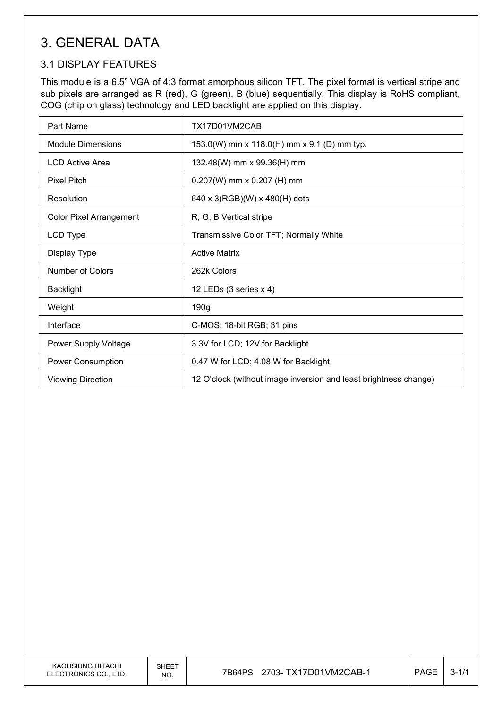## 3. GENERAL DATA

### 3.1 DISPLAY FEATURES

This module is a 6.5" VGA of 4:3 format amorphous silicon TFT. The pixel format is vertical stripe and sub pixels are arranged as R (red), G (green), B (blue) sequentially. This display is RoHS compliant, COG (chip on glass) technology and LED backlight are applied on this display.

| Part Name                      | TX17D01VM2CAB                                                    |
|--------------------------------|------------------------------------------------------------------|
| Module Dimensions              | 153.0(W) mm x 118.0(H) mm x 9.1 (D) mm typ.                      |
| <b>LCD Active Area</b>         | 132.48(W) mm x 99.36(H) mm                                       |
| <b>Pixel Pitch</b>             | $0.207(W)$ mm x 0.207 (H) mm                                     |
| Resolution                     | 640 x 3(RGB)(W) x 480(H) dots                                    |
| <b>Color Pixel Arrangement</b> | R, G, B Vertical stripe                                          |
| LCD Type                       | Transmissive Color TFT; Normally White                           |
| Display Type                   | <b>Active Matrix</b>                                             |
| Number of Colors               | 262k Colors                                                      |
| <b>Backlight</b>               | 12 LEDs (3 series x 4)                                           |
| Weight                         | 190g                                                             |
| Interface                      | C-MOS; 18-bit RGB; 31 pins                                       |
| <b>Power Supply Voltage</b>    | 3.3V for LCD; 12V for Backlight                                  |
| <b>Power Consumption</b>       | 0.47 W for LCD; 4.08 W for Backlight                             |
| <b>Viewing Direction</b>       | 12 O'clock (without image inversion and least brightness change) |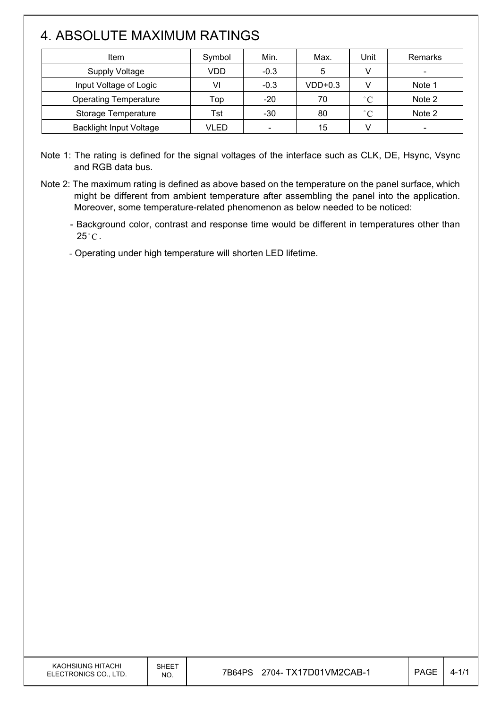# 4. ABSOLUTE MAXIMUM RATINGS

 $\overline{\phantom{a}}$ 

| Item                           | Symbol | Min.                     | Max.      | Unit              | Remarks |
|--------------------------------|--------|--------------------------|-----------|-------------------|---------|
| <b>Supply Voltage</b>          | VDD    | $-0.3$                   | 5         |                   |         |
| Input Voltage of Logic         | VI     | $-0.3$                   | $VDD+0.3$ |                   | Note 1  |
| <b>Operating Temperature</b>   | Top    | $-20$                    | 70        | $\degree$ C       | Note 2  |
| Storage Temperature            | Tst    | $-30$                    | 80        | $^{\circ}$ $\cap$ | Note 2  |
| <b>Backlight Input Voltage</b> | VLED   | $\overline{\phantom{0}}$ | 15        |                   |         |

Note 1: The rating is defined for the signal voltages of the interface such as CLK, DE, Hsync, Vsync and RGB data bus.

Note 2: The maximum rating is defined as above based on the temperature on the panel surface, which might be different from ambient temperature after assembling the panel into the application. Moreover, some temperature-related phenomenon as below needed to be noticed:

- Background color, contrast and response time would be different in temperatures other than  $25^{\circ}$ C.

- Operating under high temperature will shorten LED lifetime.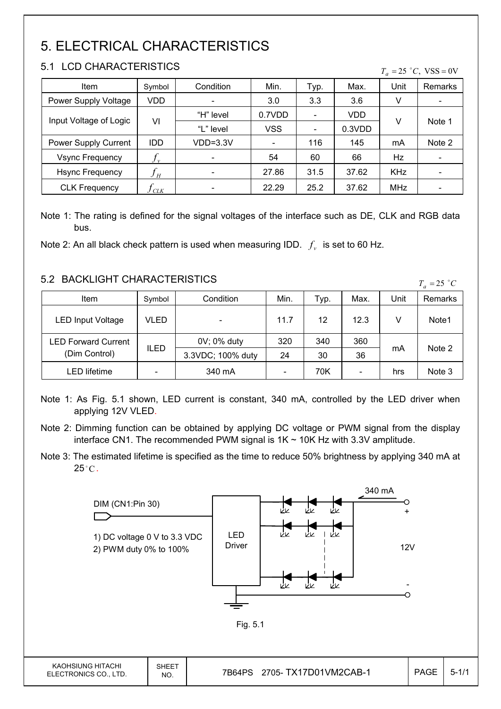# 5. ELECTRICAL CHARACTERISTICS

### 5.1 LCD CHARACTERISTICS

 $\mathsf{I}$ 

|  |  | $T_a = 25$ °C, VSS = 0V |
|--|--|-------------------------|
|  |  |                         |

| Item                   | Symbol                     | Condition                | Min.       | Typ.                         | Max.   | Unit       | Remarks                  |
|------------------------|----------------------------|--------------------------|------------|------------------------------|--------|------------|--------------------------|
| Power Supply Voltage   | VDD                        |                          | 3.0        | 3.3                          | 3.6    | v          | -                        |
|                        | VI                         | "H" level                | 0.7VDD     |                              | VDD    |            | Note 1                   |
| Input Voltage of Logic |                            | "L" level                | <b>VSS</b> | $\qquad \qquad \blacksquare$ | 0.3VDD | V          |                          |
| Power Supply Current   | <b>IDD</b>                 | $VDD=3.3V$               |            | 116                          | 145    | mA         | Note 2                   |
| <b>Vsync Frequency</b> | $f_{v}$                    | $\overline{\phantom{a}}$ | 54         | 60                           | 66     | Hz         | $\overline{\phantom{a}}$ |
| <b>Hsync Frequency</b> | $f_{\scriptscriptstyle H}$ |                          | 27.86      | 31.5                         | 37.62  | <b>KHz</b> | $\overline{\phantom{a}}$ |
| <b>CLK Frequency</b>   | CLK                        |                          | 22.29      | 25.2                         | 37.62  | <b>MHz</b> |                          |

Note 1: The rating is defined for the signal voltages of the interface such as DE, CLK and RGB data bus.

Note 2: An all black check pattern is used when measuring IDD.  $f_v$  is set to 60 Hz.

### 5.2 BACKLIGHT CHARACTERISTICS

| <u>J.Z DAUNLIUNI UNARAUTERISTIUS</u><br>$T_a = 25$ °C |        |                   |      |      |                          |      |         |
|-------------------------------------------------------|--------|-------------------|------|------|--------------------------|------|---------|
| Item                                                  | Symbol | Condition         | Min. | Тур. | Max.                     | Unit | Remarks |
| <b>LED Input Voltage</b>                              | VLED   |                   | 11.7 | 12   | 12.3                     |      | Note1   |
| <b>LED Forward Current</b>                            | ILED   | 0V; 0% duty       | 320  | 340  | 360                      |      |         |
| (Dim Control)                                         |        | 3.3VDC; 100% duty | 24   | 30   | 36                       | mA   | Note 2  |
| LED lifetime                                          |        | 340 mA            |      | 70K  | $\overline{\phantom{a}}$ | hrs  | Note 3  |

Note 1: As Fig. 5.1 shown, LED current is constant, 340 mA, controlled by the LED driver when applying 12V VLED.

Note 3: The estimated lifetime is specified as the time to reduce 50% brightness by applying 340 mA at  $25^{\circ}$ C.



Note 2: Dimming function can be obtained by applying DC voltage or PWM signal from the display interface CN1. The recommended PWM signal is  $1K \sim 10K$  Hz with 3.3V amplitude.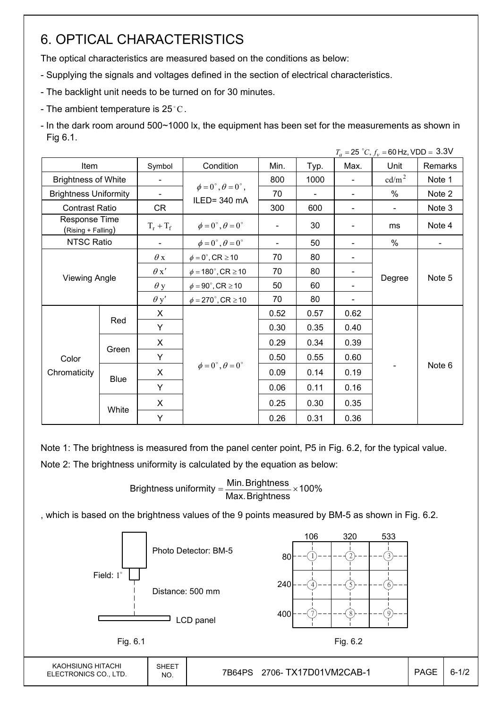## 6. OPTICAL CHARACTERISTICS

The optical characteristics are measured based on the conditions as below:

- Supplying the signals and voltages defined in the section of electrical characteristics.
- The backlight unit needs to be turned on for 30 minutes.
- The ambient temperature is 25 $^{\circ}$ C.
- In the dark room around 500~1000 lx, the equipment has been set for the measurements as shown in Fig 6.1.

|                                     |                      |                          |                                                         |      |                          |                | $T_a = 25 °C$ , $f_v = 60$ Hz, VDD = 3.3V |         |
|-------------------------------------|----------------------|--------------------------|---------------------------------------------------------|------|--------------------------|----------------|-------------------------------------------|---------|
| Item                                |                      | Symbol                   | Condition                                               | Min. | Typ.                     | Max.           | Unit                                      | Remarks |
| <b>Brightness of White</b>          |                      | $\blacksquare$           |                                                         | 800  | 1000                     | $\blacksquare$ | cd/m <sup>2</sup>                         | Note 1  |
| <b>Brightness Uniformity</b>        |                      | $\overline{\phantom{a}}$ | $\phi = 0^{\circ}, \theta = 0^{\circ}$ ,<br>ILED=340 mA | 70   | $\overline{\phantom{a}}$ |                | $\%$                                      | Note 2  |
| <b>Contrast Ratio</b>               |                      | CR                       |                                                         | 300  | 600                      | $\blacksquare$ | $\blacksquare$                            | Note 3  |
| Response Time<br>(Rising + Falling) |                      | $T_r + T_f$              | $\phi = 0^{\circ}, \theta = 0^{\circ}$                  |      | 30                       |                | ms                                        | Note 4  |
| NTSC Ratio                          |                      |                          | $\phi = 0^{\circ}, \theta = 0^{\circ}$                  |      | 50                       |                | %                                         |         |
|                                     |                      | $\theta$ x               | $\phi = 0^\circ$ , CR $\geq 10$                         | 70   | 80                       |                |                                           |         |
|                                     |                      | $\theta x'$              | $\phi = 180^{\circ}$ , CR $\geq 10$                     | 70   | 80                       |                |                                           |         |
|                                     | <b>Viewing Angle</b> |                          | $\phi = 90^{\circ}$ , CR $\geq 10$                      | 50   | 60                       |                | Degree                                    | Note 5  |
|                                     |                      | $\theta$ y'              | $\phi = 270^\circ$ , CR $\geq 10$                       | 70   | 80                       |                |                                           |         |
|                                     |                      | X                        |                                                         | 0.52 | 0.57                     | 0.62           |                                           | Note 6  |
|                                     | Red<br>Y             |                          |                                                         | 0.30 | 0.35                     | 0.40           |                                           |         |
|                                     |                      | X                        |                                                         | 0.29 | 0.34                     | 0.39           |                                           |         |
| Color                               | Green                | Y                        |                                                         | 0.50 | 0.55                     | 0.60           |                                           |         |
| Chromaticity                        |                      | X                        | $\phi = 0^{\circ}, \theta = 0^{\circ}$                  | 0.09 | 0.14                     | 0.19           |                                           |         |
|                                     |                      | <b>Blue</b><br>Y         |                                                         | 0.06 | 0.11                     | 0.16           |                                           |         |
|                                     |                      | X                        |                                                         | 0.25 | 0.30                     | 0.35           |                                           |         |
|                                     | White<br>Y           |                          | 0.26                                                    | 0.31 | 0.36                     |                |                                           |         |

Note 1: The brightness is measured from the panel center point, P5 in Fig. 6.2, for the typical value.

Note 2: The brightness uniformity is calculated by the equation as below:

Brightness uniformity  $=\frac{1}{2}$  is  $\frac{1}{2}$  in  $\frac{1}{2}$  in  $\frac{1}{2}$  is  $\frac{1}{2}$  in  $\frac{1}{2}$  in  $\frac{1}{2}$  is  $\frac{1}{2}$  in  $\frac{1}{2}$  in  $\frac{1}{2}$  is  $\frac{1}{2}$  in  $\frac{1}{2}$  in  $\frac{1}{2}$  is  $\frac{1}{2}$  in  $\frac{1}{2}$  in  $\frac{$ Max.Brightness Brightness uniformity =  $\frac{\text{Min.~Brightness}}{\text{max.~S}}$ 

, which is based on the brightness values of the 9 points measured by BM-5 as shown in Fig. 6.2.

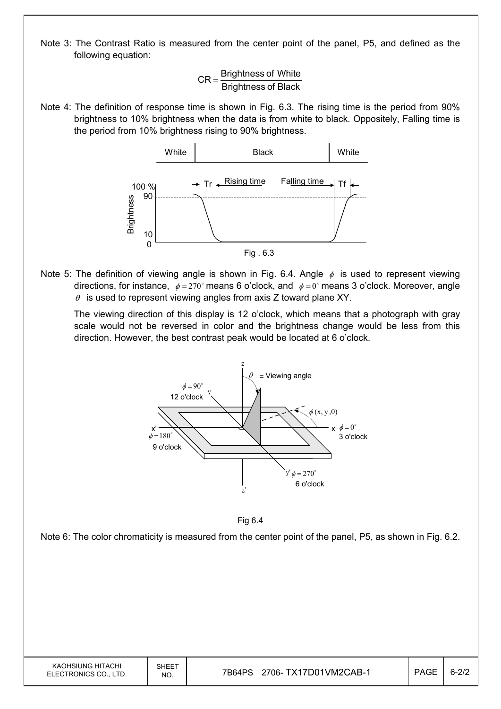Note 3: The Contrast Ratio is measured from the center point of the panel, P5, and defined as the following equation:

> Brightness of Black  $CR =$ Brightness of White

Note 4: The definition of response time is shown in Fig. 6.3. The rising time is the period from 90% brightness to 10% brightness when the data is from white to black. Oppositely, Falling time is the period from 10% brightness rising to 90% brightness.



Note 5: The definition of viewing angle is shown in Fig. 6.4. Angle  $\phi$  is used to represent viewing directions, for instance,  $\phi = 270^\circ$  means 6 o'clock, and  $\phi = 0^\circ$  means 3 o'clock. Moreover, angle  $\theta$  is used to represent viewing angles from axis Z toward plane XY.

 The viewing direction of this display is 12 o'clock, which means that a photograph with gray scale would not be reversed in color and the brightness change would be less from this direction. However, the best contrast peak would be located at 6 o'clock.





Note 6: The color chromaticity is measured from the center point of the panel, P5, as shown in Fig. 6.2.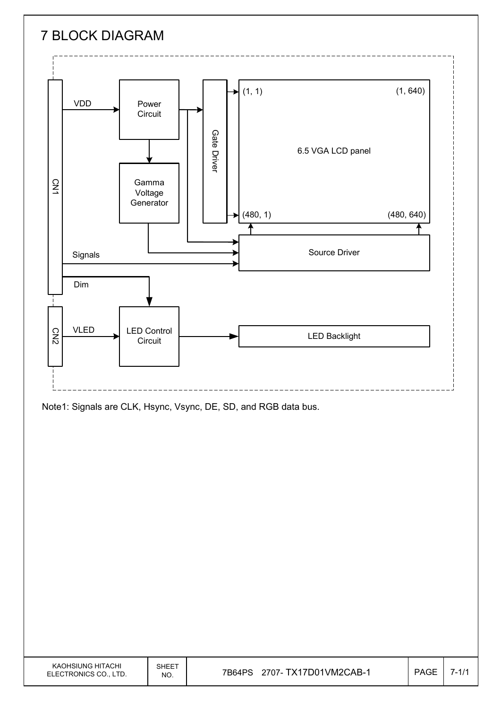

Note1: Signals are CLK, Hsync, Vsync, DE, SD, and RGB data bus.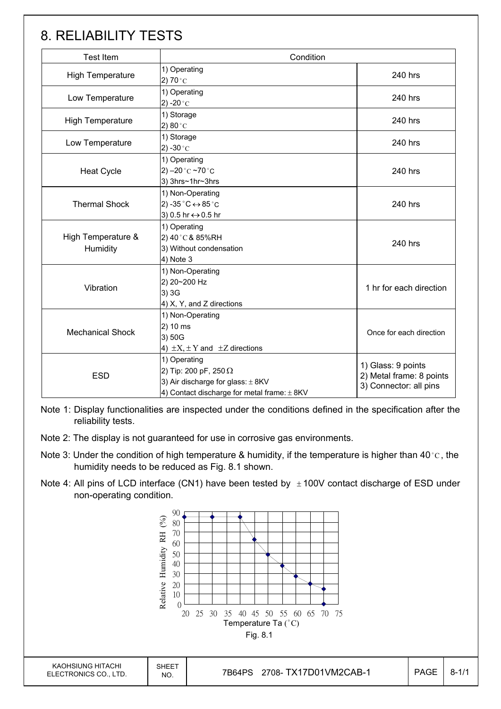## 8. RELIABILITY TESTS

| <b>Test Item</b>               | Condition                                                                                                                                |                                                                          |  |
|--------------------------------|------------------------------------------------------------------------------------------------------------------------------------------|--------------------------------------------------------------------------|--|
| High Temperature               | 1) Operating<br>2) 70 $^{\circ}$ C                                                                                                       | 240 hrs                                                                  |  |
| Low Temperature                | 1) Operating<br>2) -20 $^{\circ}$ C                                                                                                      | 240 hrs                                                                  |  |
| <b>High Temperature</b>        | 1) Storage<br>2) $80^{\circ}$ C                                                                                                          | 240 hrs                                                                  |  |
| Low Temperature                | 1) Storage<br>2) -30 $^{\circ}$ C                                                                                                        | 240 hrs                                                                  |  |
| <b>Heat Cycle</b>              | 1) Operating<br>2) $-20$ °C $-70$ °C<br>3) 3hrs~1hr~3hrs                                                                                 | 240 hrs                                                                  |  |
| <b>Thermal Shock</b>           | 1) Non-Operating<br>2) -35 $^{\circ}$ C $\leftrightarrow$ 85 $^{\circ}$ C<br>3) 0.5 hr ↔ 0.5 hr                                          | 240 hrs                                                                  |  |
| High Temperature &<br>Humidity | 1) Operating<br>2) 40°C & 85%RH<br>3) Without condensation<br>4) Note 3                                                                  | 240 hrs                                                                  |  |
| Vibration                      | 1) Non-Operating<br>2) 20~200 Hz<br>3) 3G<br>4) X, Y, and Z directions                                                                   | 1 hr for each direction                                                  |  |
| <b>Mechanical Shock</b>        | 1) Non-Operating<br>2) 10 ms<br>3) 50G<br>4) $\pm X$ , $\pm Y$ and $\pm Z$ directions                                                    | Once for each direction                                                  |  |
| <b>ESD</b>                     | 1) Operating<br>2) Tip: 200 pF, 250 $\Omega$<br>3) Air discharge for glass: $\pm$ 8KV<br>4) Contact discharge for metal frame: $\pm$ 8KV | 1) Glass: 9 points<br>2) Metal frame: 8 points<br>3) Connector: all pins |  |

Note 1: Display functionalities are inspected under the conditions defined in the specification after the reliability tests.

- Note 2: The display is not guaranteed for use in corrosive gas environments.
- Note 3: Under the condition of high temperature & humidity, if the temperature is higher than 40 °C, the humidity needs to be reduced as Fig. 8.1 shown.
- Note 4: All pins of LCD interface (CN1) have been tested by  $\pm 100V$  contact discharge of ESD under non-operating condition.

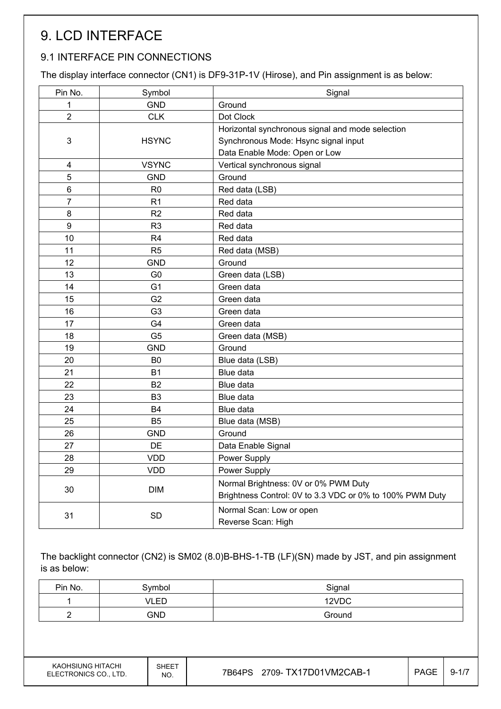# 9. LCD INTERFACE

## 9.1 INTERFACE PIN CONNECTIONS

The display interface connector (CN1) is DF9-31P-1V (Hirose), and Pin assignment is as below:

| Pin No.        | Symbol         | Signal                                                   |
|----------------|----------------|----------------------------------------------------------|
| 1              | <b>GND</b>     | Ground                                                   |
| $\overline{2}$ | <b>CLK</b>     | Dot Clock                                                |
|                |                | Horizontal synchronous signal and mode selection         |
| 3              | <b>HSYNC</b>   | Synchronous Mode: Hsync signal input                     |
|                |                | Data Enable Mode: Open or Low                            |
| 4              | <b>VSYNC</b>   | Vertical synchronous signal                              |
| 5              | <b>GND</b>     | Ground                                                   |
| 6              | R <sub>0</sub> | Red data (LSB)                                           |
| $\overline{7}$ | R <sub>1</sub> | Red data                                                 |
| 8              | R <sub>2</sub> | Red data                                                 |
| 9              | R <sub>3</sub> | Red data                                                 |
| 10             | R <sub>4</sub> | Red data                                                 |
| 11             | R <sub>5</sub> | Red data (MSB)                                           |
| 12             | <b>GND</b>     | Ground                                                   |
| 13             | G <sub>0</sub> | Green data (LSB)                                         |
| 14             | G <sub>1</sub> | Green data                                               |
| 15             | G <sub>2</sub> | Green data                                               |
| 16             | G <sub>3</sub> | Green data                                               |
| 17             | G4             | Green data                                               |
| 18             | G <sub>5</sub> | Green data (MSB)                                         |
| 19             | <b>GND</b>     | Ground                                                   |
| 20             | B <sub>0</sub> | Blue data (LSB)                                          |
| 21             | <b>B1</b>      | Blue data                                                |
| 22             | <b>B2</b>      | Blue data                                                |
| 23             | B <sub>3</sub> | Blue data                                                |
| 24             | <b>B4</b>      | Blue data                                                |
| 25             | B <sub>5</sub> | Blue data (MSB)                                          |
| 26             | <b>GND</b>     | Ground                                                   |
| 27             | DE             | Data Enable Signal                                       |
| 28             | <b>VDD</b>     | Power Supply                                             |
| 29             | <b>VDD</b>     | Power Supply                                             |
| 30             | <b>DIM</b>     | Normal Brightness: 0V or 0% PWM Duty                     |
|                |                | Brightness Control: 0V to 3.3 VDC or 0% to 100% PWM Duty |
| 31             | SD             | Normal Scan: Low or open                                 |
|                |                | Reverse Scan: High                                       |

The backlight connector (CN2) is SM02 (8.0)B-BHS-1-TB (LF)(SN) made by JST, and pin assignment is as below:

| Pin No. | Symbol     | Signal |
|---------|------------|--------|
|         | VLED       | 12VDC  |
|         | <b>GND</b> | Ground |

KAOHSIUNG HITACHI ELECTRONICS CO., LTD.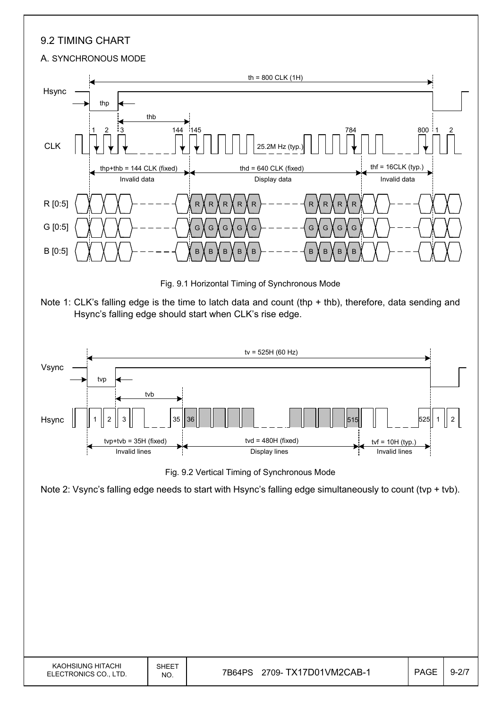## 9.2 TIMING CHART

#### A. SYNCHRONOUS MODE



Fig. 9.1 Horizontal Timing of Synchronous Mode





Fig. 9.2 Vertical Timing of Synchronous Mode

Note 2: Vsync's falling edge needs to start with Hsync's falling edge simultaneously to count (tvp + tvb).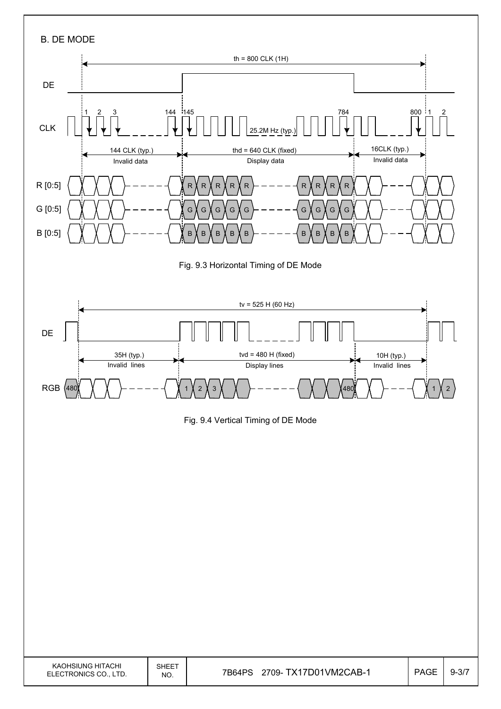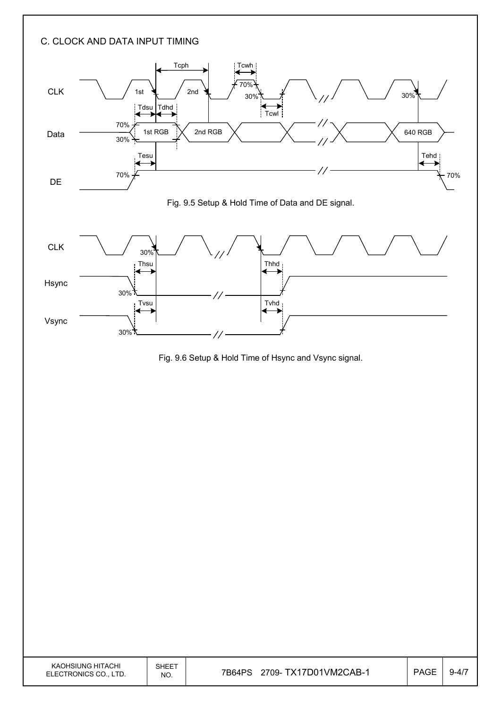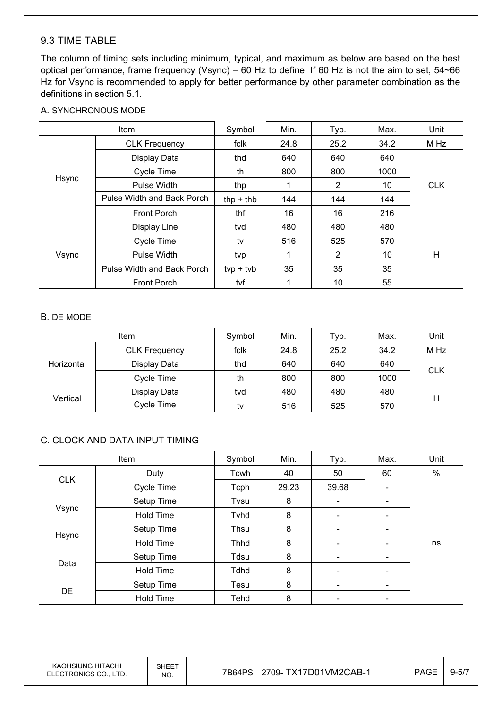### 9.3 TIME TABLE

The column of timing sets including minimum, typical, and maximum as below are based on the best optical performance, frame frequency (Vsync) = 60 Hz to define. If 60 Hz is not the aim to set, 54~66 Hz for Vsync is recommended to apply for better performance by other parameter combination as the definitions in section 5.1.

#### A. SYNCHRONOUS MODE

| Item  |                            | Symbol      | Min. | Typ.           | Max. | Unit       |
|-------|----------------------------|-------------|------|----------------|------|------------|
|       | <b>CLK Frequency</b>       | fclk        | 24.8 | 25.2           | 34.2 | M Hz       |
|       | Display Data               | thd         | 640  | 640            | 640  |            |
|       | Cycle Time                 | th          | 800  | 800            | 1000 |            |
| Hsync | Pulse Width                | thp         | 1    | $\overline{2}$ | 10   | <b>CLK</b> |
|       | Pulse Width and Back Porch | $thp + thb$ | 144  | 144            | 144  |            |
|       | <b>Front Porch</b>         | thf         | 16   | 16             | 216  |            |
| Vsync | Display Line               | tvd         | 480  | 480            | 480  |            |
|       | Cycle Time                 | tv          | 516  | 525            | 570  |            |
|       | Pulse Width                | tvp         |      | $\overline{2}$ | 10   | H          |
|       | Pulse Width and Back Porch | $typ + tvb$ | 35   | 35             | 35   |            |
|       | <b>Front Porch</b>         | tvf         | 1    | 10             | 55   |            |

#### B. DE MODE

|            | <b>Item</b>          | Symbol | Min. | Typ. | Max. | Unit       |  |
|------------|----------------------|--------|------|------|------|------------|--|
|            | <b>CLK Frequency</b> | fclk   | 24.8 | 25.2 | 34.2 | M Hz       |  |
| Horizontal | Display Data         | thd    | 640  | 640  | 640  |            |  |
|            | Cycle Time           | th     | 800  | 800  | 1000 | <b>CLK</b> |  |
|            | Display Data         | tvd    | 480  | 480  | 480  |            |  |
| Vertical   | Cycle Time           | tv     | 516  | 525  | 570  | н          |  |

#### C. CLOCK AND DATA INPUT TIMING

| Item       |                  | Symbol | Min.  | Typ.                         | Max.                         | Unit |
|------------|------------------|--------|-------|------------------------------|------------------------------|------|
|            | Duty             | Tcwh   | 40    | 50                           | 60                           | $\%$ |
| <b>CLK</b> | Cycle Time       | Tcph   | 29.23 | 39.68                        | -                            |      |
|            | Setup Time       | Tvsu   | 8     | $\overline{\phantom{a}}$     |                              |      |
| Vsync      | <b>Hold Time</b> | Tvhd   | 8     | $\overline{\phantom{a}}$     | $\overline{\phantom{0}}$     |      |
| Hsync      | Setup Time       | Thsu   | 8     | $\overline{\phantom{a}}$     | $\qquad \qquad \blacksquare$ |      |
|            | <b>Hold Time</b> | Thhd   | 8     | $\overline{\phantom{a}}$     | -                            | ns   |
|            | Setup Time       | Tdsu   | 8     |                              |                              |      |
| Data       | <b>Hold Time</b> | Tdhd   | 8     |                              |                              |      |
| <b>DE</b>  | Setup Time       | Tesu   | 8     | $\qquad \qquad \blacksquare$ | $\qquad \qquad \blacksquare$ |      |
|            | <b>Hold Time</b> | Tehd   | 8     |                              |                              |      |

KAOHSIUNG HITACHI ELECTRONICS CO., LTD.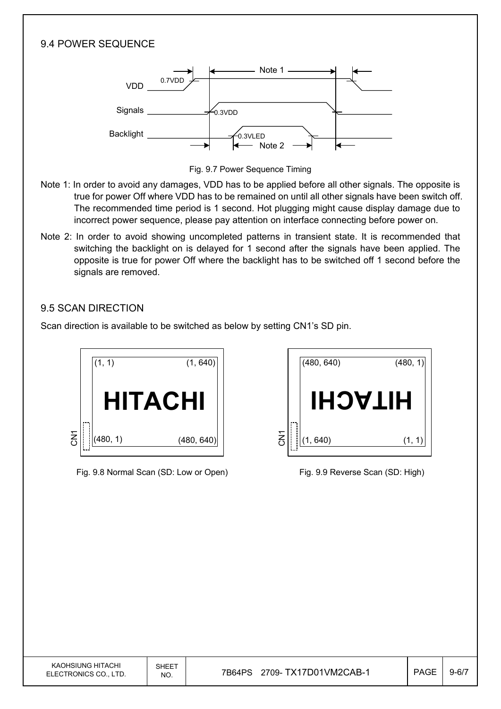### 9.4 POWER SEQUENCE



Fig. 9.7 Power Sequence Timing

- Note 1: In order to avoid any damages, VDD has to be applied before all other signals. The opposite is true for power Off where VDD has to be remained on until all other signals have been switch off. The recommended time period is 1 second. Hot plugging might cause display damage due to incorrect power sequence, please pay attention on interface connecting before power on.
- Note 2: In order to avoid showing uncompleted patterns in transient state. It is recommended that switching the backlight on is delayed for 1 second after the signals have been applied. The opposite is true for power Off where the backlight has to be switched off 1 second before the signals are removed.

### 9.5 SCAN DIRECTION

Scan direction is available to be switched as below by setting CN1's SD pin.



Fig. 9.8 Normal Scan (SD: Low or Open) Fig. 9.9 Reverse Scan (SD: High)

|                       | (480, 640) | (480, 1) |
|-----------------------|------------|----------|
|                       | HIJACH     |          |
| $\overline{\text{S}}$ | (1, 640)   | (1,      |

| KAOHSIUNG HITACHI<br>ELECTRONICS CO., LTD. | SHEET<br>NO. | 2709- TX17D01VM2CAB-1<br>7B64PS | <b>PAGE</b> | $9 - 6/7$ |
|--------------------------------------------|--------------|---------------------------------|-------------|-----------|
|                                            |              |                                 |             |           |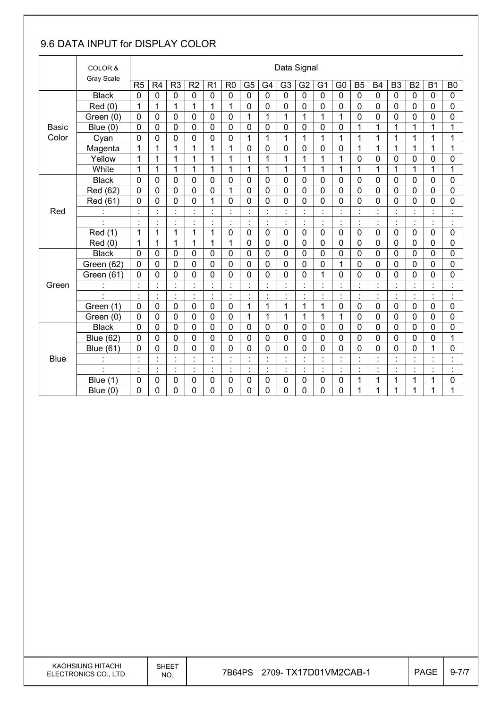## 9.6 DATA INPUT for DISPLAY COLOR

|              | COLOR &              |                | Data Signal          |                      |                     |                           |                |                |                |                 |                |                     |                                        |                             |                      |                |                                  |                |                      |
|--------------|----------------------|----------------|----------------------|----------------------|---------------------|---------------------------|----------------|----------------|----------------|-----------------|----------------|---------------------|----------------------------------------|-----------------------------|----------------------|----------------|----------------------------------|----------------|----------------------|
|              | Gray Scale           | R <sub>5</sub> | R <sub>4</sub>       | R <sub>3</sub>       | R <sub>2</sub>      | R <sub>1</sub>            | R <sub>0</sub> | G <sub>5</sub> | G4             | G <sub>3</sub>  | G <sub>2</sub> | G <sub>1</sub>      | G <sub>0</sub>                         | B <sub>5</sub>              | <b>B4</b>            | B <sub>3</sub> | B <sub>2</sub>                   | B <sub>1</sub> | B <sub>0</sub>       |
|              | <b>Black</b>         | $\mathbf 0$    | 0                    | $\overline{0}$       | $\mathbf 0$         | $\mathbf 0$               | $\mathbf 0$    | $\mathbf 0$    | $\mathbf 0$    | $\mathbf 0$     | $\mathbf 0$    | $\mathbf 0$         | $\mathbf 0$                            | $\mathbf 0$                 | $\mathbf 0$          | $\mathbf 0$    | 0                                | $\mathbf 0$    | $\mathbf 0$          |
|              | Red(0)               | 1              | 1                    | 1                    | 1                   | 1                         | 1              | 0              | $\mathbf 0$    | 0               | 0              | 0                   | 0                                      | $\mathbf{0}$                | $\mathbf 0$          | $\mathbf 0$    | 0                                | 0              | 0                    |
|              | Green (0)            | 0              | 0                    | 0                    | 0                   | 0                         | $\mathbf 0$    | 1              | $\overline{1}$ | 1               | 1              | 1                   | $\mathbf 1$                            | 0                           | $\mathbf 0$          | $\mathbf 0$    | 0                                | $\mathbf 0$    | 0                    |
| <b>Basic</b> | Blue (0)             | $\overline{0}$ | 0                    | 0                    | 0                   | $\mathbf 0$               | $\mathbf 0$    | 0              | $\mathbf 0$    | 0               | $\mathbf 0$    | 0                   | $\mathbf 0$                            | 1                           | $\mathbf{1}$         | $\mathbf{1}$   | $\mathbf{1}$                     | $\mathbf{1}$   | $\mathbf{1}$         |
| Color        | Cyan                 | 0              | 0                    | 0                    | 0                   | 0                         | $\mathbf 0$    | 1              | 1              | 1               | 1              | 1                   | 1                                      | 1                           | 1                    | 1              | 1                                | 1              | 1                    |
|              | Magenta              | 1              | 1                    | 1                    | 1                   | 1                         | 1              | $\mathbf 0$    | 0              | 0               | 0              | 0                   | 0                                      | 1                           | 1                    | 1              | 1                                | 1              | 1                    |
|              | Yellow               | $\mathbf{1}$   | $\mathbf{1}$         | $\mathbf{1}$         | 1                   | $\mathbf 1$               | 1              | $\mathbf{1}$   | $\mathbf{1}$   | $\mathbf{1}$    | 1              | 1                   | $\mathbf{1}$                           | 0                           | $\mathbf 0$          | $\mathbf 0$    | 0                                | 0              | 0                    |
|              | White                | 1              | 1                    | 1                    | 1                   | 1                         | 1              | $\overline{1}$ | $\mathbf 1$    | 1               | 1              | 1                   | 1                                      | 1                           | 1                    | $\overline{1}$ | $\overline{1}$                   | $\mathbf{1}$   | 1                    |
|              | <b>Black</b>         | 0              | 0                    | 0                    | 0                   | 0                         | $\mathbf 0$    | $\mathbf 0$    | $\mathbf 0$    | 0               | 0              | 0                   | 0                                      | $\mathbf 0$                 | $\mathbf 0$          | 0              | 0                                | 0              | 0                    |
|              | Red (62)             | $\overline{0}$ | 0                    | 0                    | 0                   | $\overline{0}$            | 1              | $\overline{0}$ | $\overline{0}$ | 0               | $\mathbf 0$    | 0                   | 0                                      | $\mathbf 0$                 | $\mathbf 0$          | $\overline{0}$ | 0                                | 0              | $\overline{0}$       |
|              | Red (61)             | $\mathbf 0$    | 0                    | $\mathbf 0$          | 0                   | 1                         | $\mathbf 0$    | 0              | $\mathbf 0$    | 0               | $\mathbf 0$    | 0                   | 0                                      | $\mathbf 0$                 | $\mathbf 0$          | $\mathbf 0$    | 0                                | 0              | 0                    |
| Red          |                      |                | Ì.                   | $\ddot{\phantom{a}}$ | $\cdot$<br>٠        | $\cdot$<br>÷.             |                | $\cdot$        | $\cdot$        |                 |                |                     | $\ddot{\cdot}$                         | $\blacksquare$              |                      |                |                                  |                | $\ddot{\cdot}$       |
|              |                      | $\cdot$        | $\cdot$              | $\blacksquare$<br>٠  | $\blacksquare$<br>٠ | $\blacksquare$<br>$\cdot$ | $\blacksquare$ | $\blacksquare$ | $\blacksquare$ | $\blacksquare$  | $\cdot$<br>٠   | $\blacksquare$<br>٠ | $\blacksquare$<br>$\blacksquare$       | $\blacksquare$<br>$\bullet$ |                      | $\cdot$        | $\blacksquare$                   | $\cdot$        | $\cdot$<br>$\bullet$ |
|              | Red (1)              | 1              | 1                    | $\mathbf{1}$         | 1                   | $\mathbf 1$               | $\mathbf 0$    | $\mathbf 0$    | $\mathbf 0$    | 0               | $\mathbf 0$    | $\mathbf 0$         | $\mathbf 0$                            | $\mathbf 0$                 | $\mathbf 0$          | $\mathbf 0$    | 0                                | $\mathbf 0$    | $\mathbf 0$          |
|              | Red (0)              | 1              | 1                    | 1                    | 1                   | 1                         | 1              | 0              | $\mathbf 0$    | 0               | 0              | 0                   | 0                                      | $\mathbf 0$                 | $\mathbf 0$          | $\mathbf 0$    | 0                                | 0              | 0                    |
|              | <b>Black</b>         | 0              | 0                    | 0                    | 0                   | 0                         | $\mathbf 0$    | $\mathbf 0$    | $\mathbf 0$    | 0               | $\mathbf 0$    | 0                   | $\overline{0}$                         | $\mathbf 0$                 | $\mathbf 0$          | $\overline{0}$ | 0                                | $\mathbf 0$    | $\mathbf 0$          |
|              | Green (62)           | 0              | 0                    | 0                    | 0                   | 0                         | $\mathbf 0$    | $\mathbf 0$    | $\mathbf 0$    | 0               | 0              | 0                   | 1                                      | $\mathbf 0$                 | $\mathbf 0$          | $\overline{0}$ | 0                                | 0              | 0                    |
|              | Green (61)           | 0              | 0                    | 0                    | 0                   | 0                         | $\mathbf 0$    | 0              | $\mathbf 0$    | 0               | 0              | 1                   | 0                                      | $\mathbf 0$                 | 0                    | $\mathbf 0$    | 0                                | 0              | 0                    |
| Green        |                      | $\blacksquare$ | $\ddot{\phantom{0}}$ | $\blacksquare$       | $\cdot$             | $\blacksquare$            | $\blacksquare$ | ł,             | $\cdot$        | $\blacksquare$  | $\blacksquare$ | $\cdot$             | $\blacksquare$<br>$\ddot{\phantom{a}}$ | $\blacksquare$              | $\blacksquare$       | $\blacksquare$ | $\blacksquare$                   | $\blacksquare$ | $\cdot$<br>Ĭ.        |
|              | $\ddot{\phantom{a}}$ | $\ddot{\cdot}$ | Ì.                   | ċ,                   | $\ddot{\cdot}$      | $\ddot{\cdot}$            | $\blacksquare$ | Ì.             | $\ddot{\cdot}$ | Ì               | $\cdot$        |                     | Ì.                                     | ċ                           | $\ddot{\cdot}$       | ÷.             | t,                               | $\ddot{\cdot}$ | $\ddot{\cdot}$       |
|              | Green (1)            | 0              | 0                    | 0                    | $\mathbf 0$         | 0                         | $\mathbf 0$    | $\mathbf{1}$   | 1              | 1               | 1              | 1                   | 0                                      | 0                           | $\mathbf 0$          | $\mathbf 0$    | 0                                | 0              | 0                    |
|              | Green (0)            | 0              | 0                    | 0                    | 0                   | 0                         | $\mathbf 0$    | 1              | $\mathbf{1}$   | 1               | 1              | 1                   | 1                                      | $\mathbf 0$                 | $\mathbf 0$          | $\mathbf 0$    | 0                                | 0              | 0                    |
|              | <b>Black</b>         | $\mathbf 0$    | 0                    | 0                    | 0                   | $\mathbf 0$               | $\overline{0}$ | $\mathbf 0$    | $\mathbf 0$    | 0               | $\mathbf 0$    | 0                   | 0                                      | $\mathbf 0$                 | $\overline{0}$       | $\overline{0}$ | 0                                | 0              | $\mathbf 0$          |
|              | <b>Blue (62)</b>     | $\mathbf 0$    | 0                    | 0                    | $\mathbf 0$         | 0                         | $\mathbf 0$    | $\mathbf 0$    | $\mathbf 0$    | 0               | 0              | 0                   | 0                                      | 0                           | $\mathbf 0$          | $\mathbf 0$    | 0                                | 0              | 1                    |
|              | <b>Blue (61)</b>     | $\mathbf 0$    | 0                    | 0                    | 0                   | 0                         | 0              | 0              | $\mathbf 0$    | 0               | 0              | 0                   | 0                                      | 0                           | 0                    | 0              | 0                                | 1              | 0                    |
| <b>Blue</b>  |                      | $\cdot$        | $\blacksquare$       | $\blacksquare$       | $\blacksquare$      | $\blacksquare$            | $\blacksquare$ | $\blacksquare$ | $\cdot$        | $\blacksquare$  | $\cdot$        | $\cdot$             | $\blacksquare$                         | $\blacksquare$              | $\cdot$              | $\blacksquare$ | $\blacksquare$                   | $\cdot$        | $\cdot$              |
|              |                      | ł.             | Ì.                   | ä,<br>٠.             | $\cdot$<br>٠        | $\vdots$                  |                | ÷,             | t,             | l,<br>$\bullet$ |                | t,                  | $\cdot$<br>$\bullet$                   | ċ                           | $\ddot{\phantom{a}}$ |                | $\blacksquare$<br>$\blacksquare$ | $\cdot$<br>٠.  | $\bullet$            |
|              | Blue (1)             | $\mathbf 0$    | 0                    | 0                    | 0                   | 0                         | 0              | $\mathbf 0$    | $\mathbf 0$    | 0               | 0              | 0                   | 0                                      | 1                           | 1                    | 1              | 1                                | 1              | 0                    |
|              | Blue $(0)$           | $\mathbf 0$    | 0                    | 0                    | 0                   | 0                         | $\mathbf 0$    | 0              | $\overline{0}$ | 0               | 0              | 0                   | 0                                      | 1                           | 1                    | 1              | 1                                | $\mathbf{1}$   | 1                    |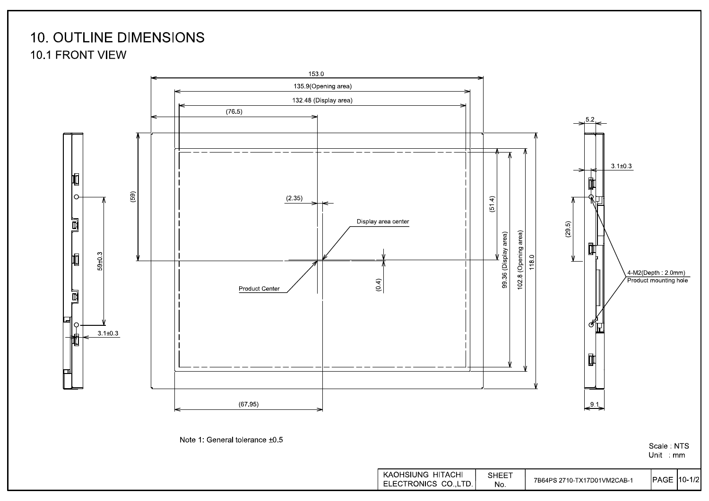## **10. OUTLINE DIMENSIONS** 10.1 FRONT VIEW



Scale: NTS Unit mm

Note 1: General tolerance ±0.5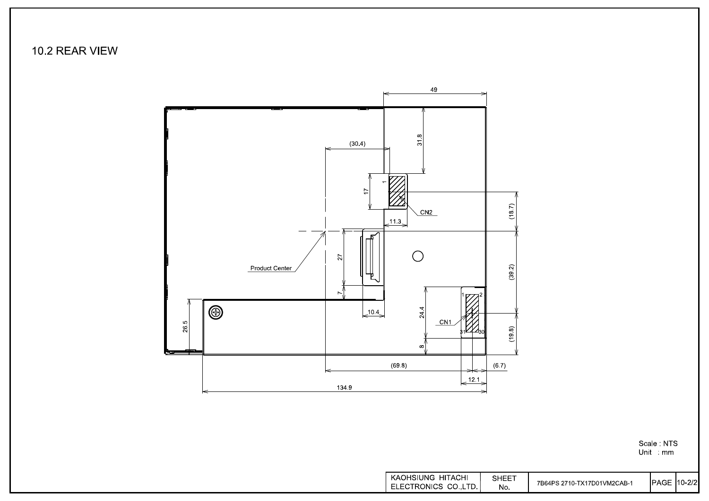10.2 REAR VIEW



Scale NTS<br>Unit mm

| KAOHSIUNG HITACHI    | SHEET |                             |                    |  |
|----------------------|-------|-----------------------------|--------------------|--|
| ELECTRONICS CO.,LTD. | No.   | 7B64PS 2710-TX17D01VM2CAB-1 | <b>IPAGE 10-2/</b> |  |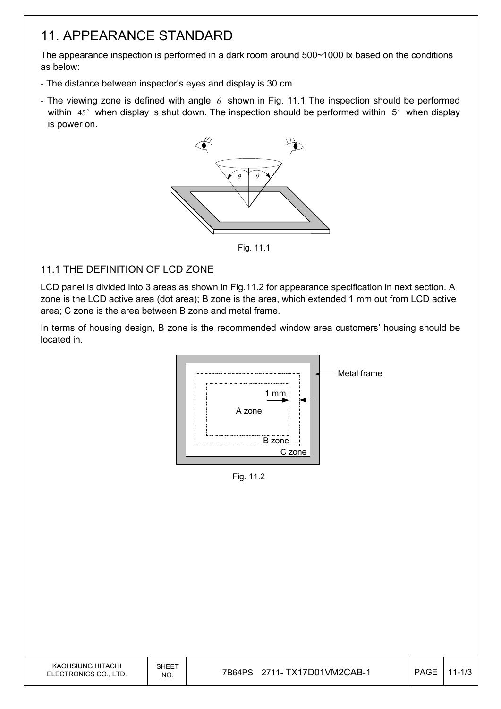## 11. APPEARANCE STANDARD

The appearance inspection is performed in a dark room around 500~1000 lx based on the conditions as below:

- The distance between inspector's eyes and display is 30 cm.
- The viewing zone is defined with angle  $\theta$  shown in Fig. 11.1 The inspection should be performed within  $45^\circ$  when display is shut down. The inspection should be performed within  $5^\circ$  when display is power on.

![](_page_18_Figure_4.jpeg)

Fig. 11.1

### 11.1 THE DEFINITION OF LCD ZONE

LCD panel is divided into 3 areas as shown in Fig.11.2 for appearance specification in next section. A zone is the LCD active area (dot area); B zone is the area, which extended 1 mm out from LCD active area; C zone is the area between B zone and metal frame.

In terms of housing design, B zone is the recommended window area customers' housing should be located in.

![](_page_18_Figure_9.jpeg)

Fig. 11.2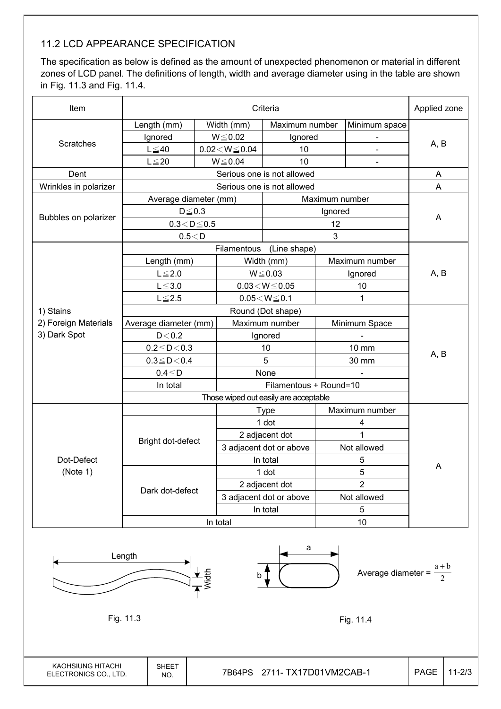### 11.2 LCD APPEARANCE SPECIFICATION

The specification as below is defined as the amount of unexpected phenomenon or material in different zones of LCD panel. The definitions of length, width and average diameter using in the table are shown in Fig. 11.3 and Fig. 11.4.

| Item                   |                        | Applied zone |                                       |                            |                |                |      |  |
|------------------------|------------------------|--------------|---------------------------------------|----------------------------|----------------|----------------|------|--|
|                        | Length (mm)            |              | Width (mm)<br>Maximum number          |                            |                | Minimum space  |      |  |
|                        | Ignored                | $W{\le}0.02$ |                                       | Ignored                    |                |                |      |  |
| Scratches              | $L \leq 40$            |              | $0.02\!<\!W\!\leq\!0.04$              | 10                         |                | $\blacksquare$ | A, B |  |
|                        | $L \leq 20$            |              | $W \le 0.04$                          | 10                         |                | $\blacksquare$ |      |  |
| Dent                   |                        |              |                                       | Serious one is not allowed |                |                | A    |  |
| Wrinkles in polarizer  |                        |              |                                       | Serious one is not allowed |                |                | A    |  |
|                        | Average diameter (mm)  |              |                                       |                            | Maximum number |                |      |  |
|                        | $D \leq 0.3$           |              |                                       |                            | Ignored        |                |      |  |
| Bubbles on polarizer   | $0.3\!<\!D\!\leq\!0.5$ |              |                                       |                            | 12             |                | A    |  |
|                        | 0.5 < D                |              |                                       |                            | 3              |                |      |  |
|                        |                        |              | Filamentous                           | (Line shape)               |                |                |      |  |
|                        | Length (mm)            |              |                                       | Width (mm)                 |                | Maximum number |      |  |
|                        | $L \leq 2.0$           |              | $W \le 0.03$                          |                            | Ignored        |                | A, B |  |
|                        | $L \le 3.0$            |              | $0.03\!<\!W\!\leq\!0.05$              |                            | 10             |                |      |  |
|                        | $L \le 2.5$            |              | $0.05\!<\!W\!\leq\!0.1$               |                            |                | 1              |      |  |
| 1) Stains              |                        |              | Round (Dot shape)                     |                            |                |                |      |  |
| 2) Foreign Materials   | Average diameter (mm)  |              | Maximum number                        |                            | Minimum Space  |                |      |  |
| 3) Dark Spot           | D < 0.2                |              | Ignored                               |                            |                |                |      |  |
|                        | $0.2 \le D < 0.3$      |              | 10                                    |                            |                | 10 mm          |      |  |
|                        | $0.3 \le D < 0.4$      |              | 5                                     |                            | 30 mm          |                | A, B |  |
|                        | $0.4 \leq D$           |              | None                                  |                            |                |                |      |  |
|                        | In total               |              |                                       |                            |                |                |      |  |
|                        |                        |              | Those wiped out easily are acceptable |                            |                |                |      |  |
|                        |                        |              |                                       | <b>Type</b>                |                | Maximum number |      |  |
|                        |                        |              |                                       | 1 dot                      | 4              |                |      |  |
|                        | Bright dot-defect      |              |                                       | 2 adjacent dot             |                | $\overline{1}$ |      |  |
| Dot-Defect<br>(Note 1) |                        |              |                                       | 3 adjacent dot or above    |                | Not allowed    |      |  |
|                        |                        |              |                                       | In total                   | 5              |                | Α    |  |
|                        |                        |              |                                       | 1 dot                      | 5              |                |      |  |
|                        | Dark dot-defect        |              |                                       | 2 adjacent dot             | $\overline{2}$ |                |      |  |
|                        |                        |              |                                       | 3 adjacent dot or above    | Not allowed    |                |      |  |
|                        |                        |              | In total                              |                            | 5              |                |      |  |
|                        |                        |              | In total                              |                            | 10             |                |      |  |

![](_page_19_Figure_3.jpeg)

KAOHSIUNG HITACHI ELECTRONICS CO., LTD.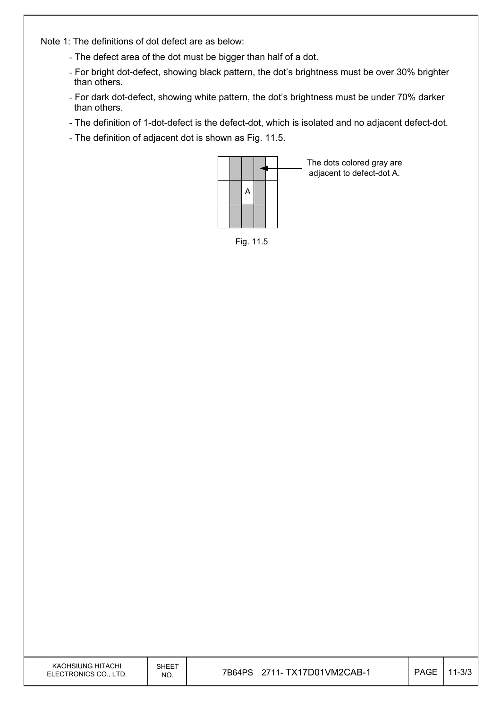Note 1: The definitions of dot defect are as below:

- The defect area of the dot must be bigger than half of a dot.
- For bright dot-defect, showing black pattern, the dot's brightness must be over 30% brighter than others.
- For dark dot-defect, showing white pattern, the dot's brightness must be under 70% darker than others.
- The definition of 1-dot-defect is the defect-dot, which is isolated and no adjacent defect-dot.
- The definition of adjacent dot is shown as Fig. 11.5.

![](_page_20_Figure_6.jpeg)

The dots colored gray are adjacent to defect-dot A.

Fig. 11.5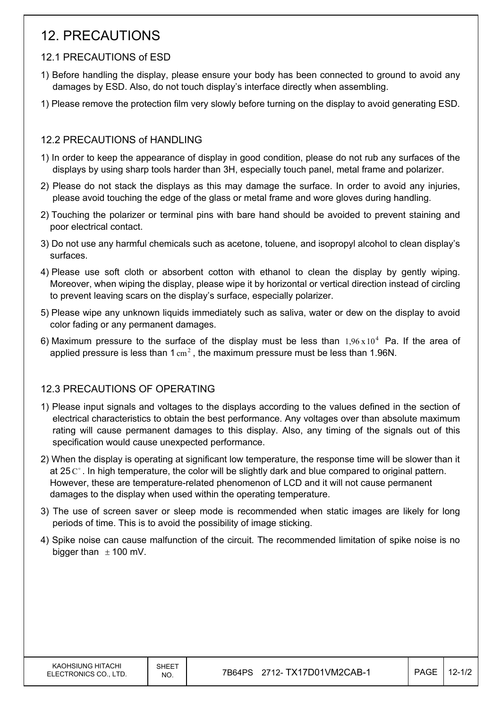## 12. PRECAUTIONS

### 12.1 PRECAUTIONS of ESD

- 1) Before handling the display, please ensure your body has been connected to ground to avoid any damages by ESD. Also, do not touch display's interface directly when assembling.
- 1) Please remove the protection film very slowly before turning on the display to avoid generating ESD.

### 12.2 PRECAUTIONS of HANDLING

- 1) In order to keep the appearance of display in good condition, please do not rub any surfaces of the displays by using sharp tools harder than 3H, especially touch panel, metal frame and polarizer.
- 2) Please do not stack the displays as this may damage the surface. In order to avoid any injuries, please avoid touching the edge of the glass or metal frame and wore gloves during handling.
- 2) Touching the polarizer or terminal pins with bare hand should be avoided to prevent staining and poor electrical contact.
- 3) Do not use any harmful chemicals such as acetone, toluene, and isopropyl alcohol to clean display's surfaces.
- 4) Please use soft cloth or absorbent cotton with ethanol to clean the display by gently wiping. Moreover, when wiping the display, please wipe it by horizontal or vertical direction instead of circling to prevent leaving scars on the display's surface, especially polarizer.
- 5) Please wipe any unknown liquids immediately such as saliva, water or dew on the display to avoid color fading or any permanent damages.
- 6) Maximum pressure to the surface of the display must be less than  $1.96 \times 10^4$  Pa. If the area of applied pressure is less than  $1 \text{ cm}^2$ , the maximum pressure must be less than 1.96N.

### 12.3 PRECAUTIONS OF OPERATING

- 1) Please input signals and voltages to the displays according to the values defined in the section of electrical characteristics to obtain the best performance. Any voltages over than absolute maximum rating will cause permanent damages to this display. Also, any timing of the signals out of this specification would cause unexpected performance.
- 2) When the display is operating at significant low temperature, the response time will be slower than it at 25 $\degree$ . In high temperature, the color will be slightly dark and blue compared to original pattern. However, these are temperature-related phenomenon of LCD and it will not cause permanent damages to the display when used within the operating temperature.
- 3) The use of screen saver or sleep mode is recommended when static images are likely for long periods of time. This is to avoid the possibility of image sticking.
- 4) Spike noise can cause malfunction of the circuit. The recommended limitation of spike noise is no bigger than  $\pm$  100 mV.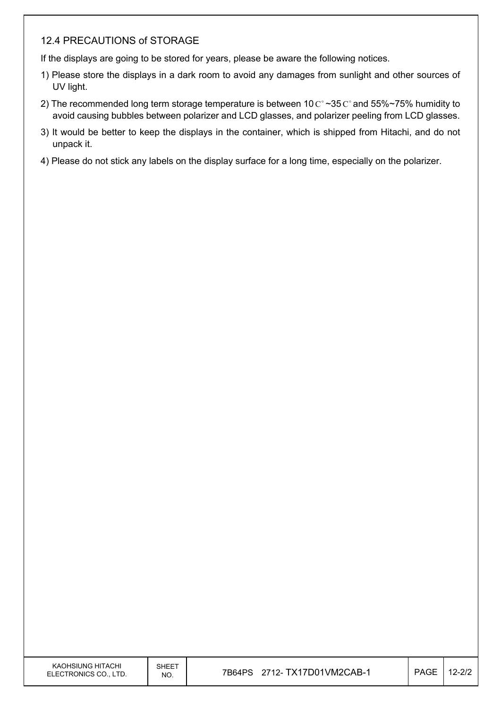### 12.4 PRECAUTIONS of STORAGE

If the displays are going to be stored for years, please be aware the following notices.

- 1) Please store the displays in a dark room to avoid any damages from sunlight and other sources of UV light.
- 2) The recommended long term storage temperature is between 10  $\mathrm{C}^{\circ}$  ~35  $\mathrm{C}^{\circ}$  and 55%~75% humidity to avoid causing bubbles between polarizer and LCD glasses, and polarizer peeling from LCD glasses.
- 3) It would be better to keep the displays in the container, which is shipped from Hitachi, and do not unpack it.
- 4) Please do not stick any labels on the display surface for a long time, especially on the polarizer.